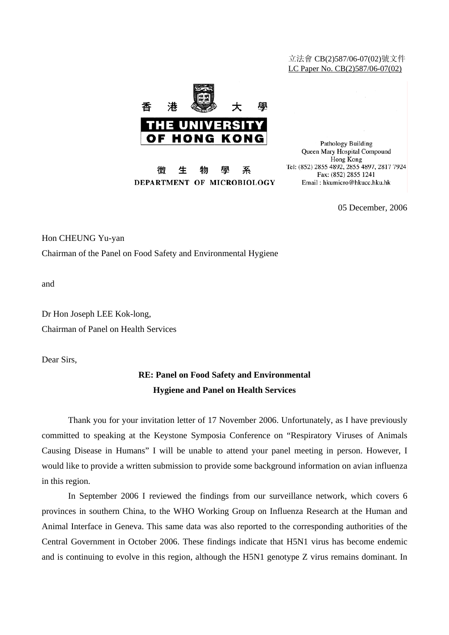## 立法會 CB(2)587/06-07(02)號文件 LC Paper No. CB(2)587/06-07(02)



微 生 物 壆 系 DEPARTMENT OF MICROBIOLOGY

Pathology Building Queen Mary Hospital Compound Hong Kong Tel: (852) 2855 4892, 2855 4897, 2817 7924 Fax: (852) 2855 1241 Email: hkumicro@hkucc.hku.hk

05 December, 2006

Hon CHEUNG Yu-yan

Chairman of the Panel on Food Safety and Environmental Hygiene

and

Dr Hon Joseph LEE Kok-long, Chairman of Panel on Health Services

Dear Sirs,

## **RE: Panel on Food Safety and Environmental Hygiene and Panel on Health Services**

 Thank you for your invitation letter of 17 November 2006. Unfortunately, as I have previously committed to speaking at the Keystone Symposia Conference on "Respiratory Viruses of Animals Causing Disease in Humans" I will be unable to attend your panel meeting in person. However, I would like to provide a written submission to provide some background information on avian influenza in this region.

 In September 2006 I reviewed the findings from our surveillance network, which covers 6 provinces in southern China, to the WHO Working Group on Influenza Research at the Human and Animal Interface in Geneva. This same data was also reported to the corresponding authorities of the Central Government in October 2006. These findings indicate that H5N1 virus has become endemic and is continuing to evolve in this region, although the H5N1 genotype Z virus remains dominant. In